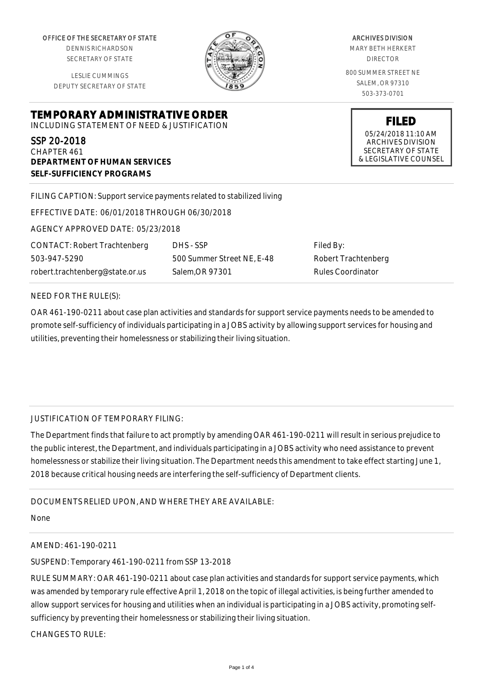OFFICE OF THE SECRETARY OF STATE

DENNIS RICHARDSON SECRETARY OF STATE

LESLIE CUMMINGS DEPUTY SECRETARY OF STATE

**DEPARTMENT OF HUMAN SERVICES**

**SELF-SUFFICIENCY PROGRAMS**



ARCHIVES DIVISION MARY BETH HERKERT DIRECTOR 800 SUMMER STREET NE SALEM, OR 97310

503-373-0701

**FILED** 05/24/2018 11:10 AM ARCHIVES DIVISION SECRETARY OF STATE & LEGISLATIVE COUNSEL

FILING CAPTION: Support service payments related to stabilized living

EFFECTIVE DATE: 06/01/2018 THROUGH 06/30/2018

**TEMPORARY ADMINISTRATIVE ORDER** INCLUDING STATEMENT OF NEED & JUSTIFICATION

AGENCY APPROVED DATE: 05/23/2018

CONTACT: Robert Trachtenberg 503-947-5290 robert.trachtenberg@state.or.us

DHS - SSP 500 Summer Street NE, E-48 Salem,OR 97301

Filed By: Robert Trachtenberg Rules Coordinator

## NEED FOR THE RULE(S):

SSP 20-2018 CHAPTER 461

OAR 461-190-0211 about case plan activities and standards for support service payments needs to be amended to promote self-sufficiency of individuals participating in a JOBS activity by allowing support services for housing and utilities, preventing their homelessness or stabilizing their living situation.

## JUSTIFICATION OF TEMPORARY FILING:

The Department finds that failure to act promptly by amending OAR 461-190-0211 will result in serious prejudice to the public interest, the Department, and individuals participating in a JOBS activity who need assistance to prevent homelessness or stabilize their living situation. The Department needs this amendment to take effect starting June 1, 2018 because critical housing needs are interfering the self-sufficiency of Department clients.

## DOCUMENTS RELIED UPON, AND WHERE THEY ARE AVAILABLE:

None

## AMEND: 461-190-0211

SUSPEND: Temporary 461-190-0211 from SSP 13-2018

RULE SUMMARY: OAR 461-190-0211 about case plan activities and standards for support service payments, which was amended by temporary rule effective April 1, 2018 on the topic of illegal activities, is being further amended to allow support services for housing and utilities when an individual is participating in a JOBS activity, promoting selfsufficiency by preventing their homelessness or stabilizing their living situation.

CHANGES TO RULE: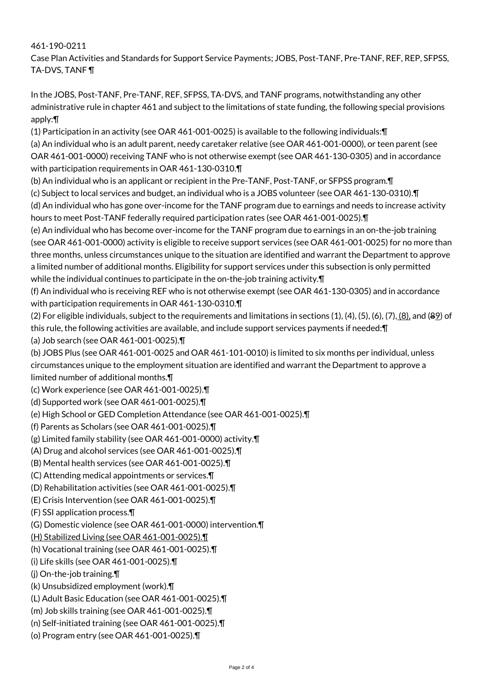461-190-0211

Case Plan Activities and Standards for Support Service Payments; JOBS, Post-TANF, Pre-TANF, REF, REP, SFPSS, TA-DVS, TANF ¶

In the JOBS, Post-TANF, Pre-TANF, REF, SFPSS, TA-DVS, and TANF programs, notwithstanding any other administrative rule in chapter 461 and subject to the limitations of state funding, the following special provisions apply:¶

(1) Participation in an activity (see OAR 461-001-0025) is available to the following individuals:¶

(a) An individual who is an adult parent, needy caretaker relative (see OAR 461-001-0000), or teen parent (see OAR 461-001-0000) receiving TANF who is not otherwise exempt (see OAR 461-130-0305) and in accordance with participation requirements in OAR 461-130-0310.¶

(b) An individual who is an applicant or recipient in the Pre-TANF, Post-TANF, or SFPSS program.¶

(c) Subject to local services and budget, an individual who is a JOBS volunteer (see OAR 461-130-0310).¶

(d) An individual who has gone over-income for the TANF program due to earnings and needs to increase activity hours to meet Post-TANF federally required participation rates (see OAR 461-001-0025).¶

(e) An individual who has become over-income for the TANF program due to earnings in an on-the-job training (see OAR 461-001-0000) activity is eligible to receive support services (see OAR 461-001-0025) for no more than three months, unless circumstances unique to the situation are identified and warrant the Department to approve a limited number of additional months. Eligibility for support services under this subsection is only permitted while the individual continues to participate in the on-the-job training activity. $\P$ 

(f) An individual who is receiving REF who is not otherwise exempt (see OAR 461-130-0305) and in accordance with participation requirements in OAR 461-130-0310.¶

(2) For eligible individuals, subject to the requirements and limitations in sections (1), (4), (5), (6), (7), (8), and (89) of this rule, the following activities are available, and include support services payments if needed:¶

(a) Job search (see OAR 461-001-0025).¶

(b) JOBS Plus (see OAR 461-001-0025 and OAR 461-101-0010) is limited to six months per individual, unless circumstances unique to the employment situation are identified and warrant the Department to approve a limited number of additional months.¶

(c) Work experience (see OAR 461-001-0025).¶

(d) Supported work (see OAR 461-001-0025).¶

(e) High School or GED Completion Attendance (see OAR 461-001-0025).¶

(f) Parents as Scholars (see OAR 461-001-0025).¶

(g) Limited family stability (see OAR 461-001-0000) activity.¶

(A) Drug and alcohol services (see OAR 461-001-0025).¶

(B) Mental health services (see OAR 461-001-0025).¶

(C) Attending medical appointments or services.¶

(D) Rehabilitation activities (see OAR 461-001-0025).¶

(E) Crisis Intervention (see OAR 461-001-0025).¶

(F) SSI application process.¶

(G) Domestic violence (see OAR 461-001-0000) intervention.¶

(H) Stabilized Living (see OAR 461-001-0025).¶

(h) Vocational training (see OAR 461-001-0025).¶

(i) Life skills (see OAR 461-001-0025).¶

(j) On-the-job training.¶

(k) Unsubsidized employment (work).¶

(L) Adult Basic Education (see OAR 461-001-0025).¶

(m) Job skills training (see OAR 461-001-0025).¶

(n) Self-initiated training (see OAR 461-001-0025).¶

(o) Program entry (see OAR 461-001-0025).¶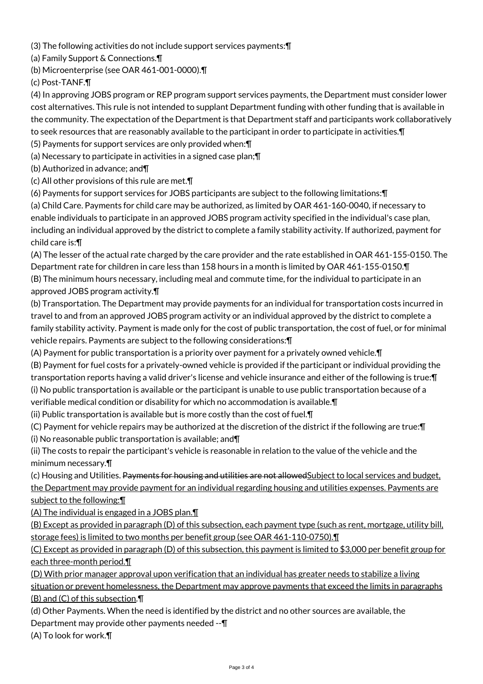(3) The following activities do not include support services payments:¶

(a) Family Support & Connections.¶

(b) Microenterprise (see OAR 461-001-0000).¶

(c) Post-TANF.¶

(4) In approving JOBS program or REP program support services payments, the Department must consider lower cost alternatives. This rule is not intended to supplant Department funding with other funding that is available in the community. The expectation of the Department is that Department staff and participants work collaboratively to seek resources that are reasonably available to the participant in order to participate in activities.¶

(5) Payments for support services are only provided when:¶

(a) Necessary to participate in activities in a signed case plan;¶

(b) Authorized in advance; and¶

(c) All other provisions of this rule are met.¶

(6) Payments for support services for JOBS participants are subject to the following limitations:¶

(a) Child Care. Payments for child care may be authorized, as limited by OAR 461-160-0040, if necessary to enable individuals to participate in an approved JOBS program activity specified in the individual's case plan, including an individual approved by the district to complete a family stability activity. If authorized, payment for child care is:¶

(A) The lesser of the actual rate charged by the care provider and the rate established in OAR 461-155-0150. The Department rate for children in care less than 158 hours in a month is limited by OAR 461-155-0150.¶ (B) The minimum hours necessary, including meal and commute time, for the individual to participate in an approved JOBS program activity.¶

(b) Transportation. The Department may provide payments for an individual for transportation costs incurred in travel to and from an approved JOBS program activity or an individual approved by the district to complete a family stability activity. Payment is made only for the cost of public transportation, the cost of fuel, or for minimal vehicle repairs. Payments are subject to the following considerations:¶

(A) Payment for public transportation is a priority over payment for a privately owned vehicle.¶

(B) Payment for fuel costs for a privately-owned vehicle is provided if the participant or individual providing the transportation reports having a valid driver's license and vehicle insurance and either of the following is true:¶ (i) No public transportation is available or the participant is unable to use public transportation because of a verifiable medical condition or disability for which no accommodation is available.¶

(ii) Public transportation is available but is more costly than the cost of fuel.¶

(C) Payment for vehicle repairs may be authorized at the discretion of the district if the following are true:¶ (i) No reasonable public transportation is available; and¶

(ii) The costs to repair the participant's vehicle is reasonable in relation to the value of the vehicle and the minimum necessary.¶

(c) Housing and Utilities. Payments for housing and utilities are not allowed Subject to local services and budget, the Department may provide payment for an individual regarding housing and utilities expenses. Payments are subject to the following:¶

(A) The individual is engaged in a JOBS plan.¶

(B) Except as provided in paragraph (D) of this subsection, each payment type (such as rent, mortgage, utility bill, storage fees) is limited to two months per benefit group (see OAR 461-110-0750).¶

(C) Except as provided in paragraph (D) of this subsection, this payment is limited to \$3,000 per benefit group for each three-month period.¶

(D) With prior manager approval upon verification that an individual has greater needs to stabilize a living situation or prevent homelessness, the Department may approve payments that exceed the limits in paragraphs (B) and (C) of this subsection.¶

(d) Other Payments. When the need is identified by the district and no other sources are available, the Department may provide other payments needed --¶

(A) To look for work.¶